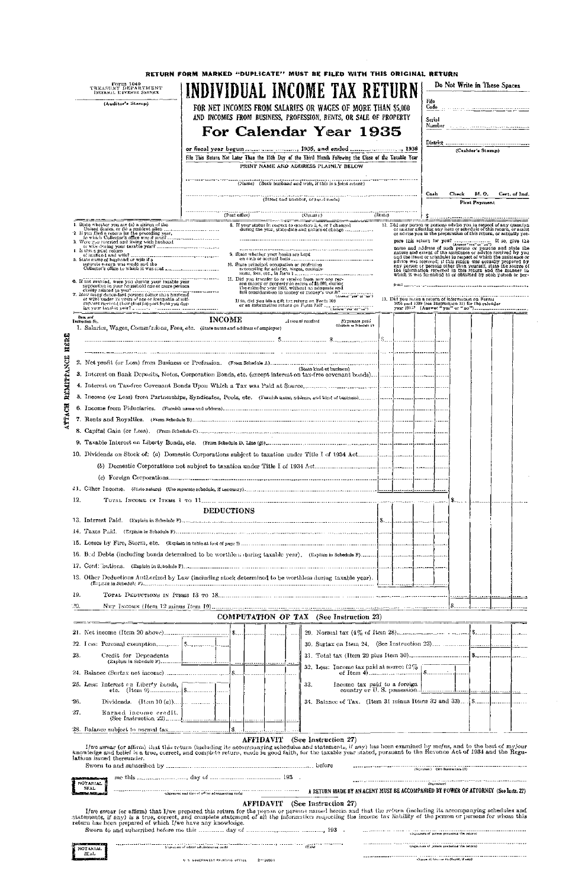|              | Form 1040<br>TREASURY DEPARTMENT<br>INTERNAL REVENUE SERVICE                                                      |                   | RETURN FORM MARKED "DUPLICATE" MUST BE FILED WITH THIS ORIGINAL RETURN<br>INDIVIDUAL INCOME TAX RETURN                                                                                                                                                                                       |  |        |       | Do Not Write in These Spaces                                                                                                                                                                                                                                                                                                                                                                         |               |
|--------------|-------------------------------------------------------------------------------------------------------------------|-------------------|----------------------------------------------------------------------------------------------------------------------------------------------------------------------------------------------------------------------------------------------------------------------------------------------|--|--------|-------|------------------------------------------------------------------------------------------------------------------------------------------------------------------------------------------------------------------------------------------------------------------------------------------------------------------------------------------------------------------------------------------------------|---------------|
|              | (Auditor's Stamp)                                                                                                 |                   | FOR NET INCOMES FROM SALARIES OR WAGES OF MORE THAN \$5,000                                                                                                                                                                                                                                  |  | File   |       | Code and the contract contract of the party                                                                                                                                                                                                                                                                                                                                                          |               |
|              |                                                                                                                   |                   | AND INCOMES FROM BUSINESS, PROFESSION, RENTS, OR SALE OF PROPERTY                                                                                                                                                                                                                            |  | Serial |       |                                                                                                                                                                                                                                                                                                                                                                                                      |               |
|              |                                                                                                                   |                   | For Calendar Year 1935                                                                                                                                                                                                                                                                       |  |        |       |                                                                                                                                                                                                                                                                                                                                                                                                      |               |
|              |                                                                                                                   |                   |                                                                                                                                                                                                                                                                                              |  |        |       |                                                                                                                                                                                                                                                                                                                                                                                                      |               |
|              |                                                                                                                   |                   | File This Return Not Later Than the 15th Day of the Third Month Following the Close of the Taxable Year                                                                                                                                                                                      |  |        |       | (Cashier's Stamp)                                                                                                                                                                                                                                                                                                                                                                                    |               |
|              |                                                                                                                   |                   | PRINT NAME AND ADDRESS PLAINLY BELOW                                                                                                                                                                                                                                                         |  |        |       |                                                                                                                                                                                                                                                                                                                                                                                                      |               |
|              |                                                                                                                   |                   | (Name) (Both husband and wife, if this is a joint return)                                                                                                                                                                                                                                    |  |        |       |                                                                                                                                                                                                                                                                                                                                                                                                      |               |
|              |                                                                                                                   |                   | $(\hbox{Street and number}, or \hbox{ part to the})$                                                                                                                                                                                                                                         |  | Cash   | Check | M. O.<br><b>First Payment</b>                                                                                                                                                                                                                                                                                                                                                                        | Cert. of Ind. |
|              |                                                                                                                   |                   |                                                                                                                                                                                                                                                                                              |  |        |       |                                                                                                                                                                                                                                                                                                                                                                                                      |               |
|              |                                                                                                                   |                   | 8. If your status in respect to question 3, 6, or 7 changed<br>Access on the respect to question 3, 6, or 7 changed during the year, state date and nature of changes are accessed                                                                                                           |  |        |       | 12. Did any person or persons advise you in respect of any question or matter affecting any item or schedule of this return, or assist<br>or advise you in the preparation of this return, or actually pre-                                                                                                                                                                                          |               |
|              | i. Is this a joint return                                                                                         |                   | 9. State whether your books are kept                                                                                                                                                                                                                                                         |  |        |       | pare this return for you? $\frac{1}{1 + \frac{1}{1 + \frac{1}{1 + \frac{1}{1 + \frac{1}{1 + \frac{1}{1 + \frac{1}{1 + \frac{1}{1 + \frac{1}{1 + \frac{1}{1 + \frac{1}{1 + \frac{1}{1 + \frac{1}{1 + \frac{1}{1 + \frac{1}{1 + \frac{1}{1 + \frac{1}{1 + \frac{1}{1 + \frac{1}{1 + \frac{1}{1 + \frac{1}{1 + \frac{1}{1 + \frac{1}{1 + \frac{1}{1 + \frac{1}{1 + \frac{1}{1 + \frac{1}{1 + \frac{1}{$ |               |
|              | of husband and wife?<br>5. State name of husband or wife if a<br>separate return was made and the                 |                   |                                                                                                                                                                                                                                                                                              |  |        |       |                                                                                                                                                                                                                                                                                                                                                                                                      |               |
|              |                                                                                                                   |                   |                                                                                                                                                                                                                                                                                              |  |        |       | which it was furnished to or obtained by such person or per-                                                                                                                                                                                                                                                                                                                                         |               |
|              |                                                                                                                   |                   | II. Did you transfer to or receive from any one per-<br>Md you transfer to or receive trom any one posters of any set of $\mathcal{S}_0$ , during the calon-hr year 1935, without an adoquate and the calon-hr year 1935, without an adoquate and full consideration in money or money's wor |  |        |       |                                                                                                                                                                                                                                                                                                                                                                                                      |               |
|              |                                                                                                                   |                   |                                                                                                                                                                                                                                                                                              |  |        |       |                                                                                                                                                                                                                                                                                                                                                                                                      |               |
|              | support received their chief support from you dur-<br>has your laxable year? The contraction return on Porta 710? |                   | If so, did you file a gift the return on Form 709<br>or an information return on Form 710?<br>(Answer"yes" or "ne")                                                                                                                                                                          |  |        |       |                                                                                                                                                                                                                                                                                                                                                                                                      |               |
|              | tiers and<br>Instruction No.<br>1. Salaries, Wages, Commissions, Fees, etc. (State name and address of employer)  | <b>INCOME</b>     | Amount received<br>Expenses paid<br>(Explain in Schedule F)                                                                                                                                                                                                                                  |  |        |       |                                                                                                                                                                                                                                                                                                                                                                                                      |               |
| HERE         |                                                                                                                   |                   |                                                                                                                                                                                                                                                                                              |  |        |       |                                                                                                                                                                                                                                                                                                                                                                                                      |               |
|              |                                                                                                                   |                   |                                                                                                                                                                                                                                                                                              |  |        |       |                                                                                                                                                                                                                                                                                                                                                                                                      |               |
| MITRANCE     |                                                                                                                   |                   | (State kind of business)                                                                                                                                                                                                                                                                     |  |        |       |                                                                                                                                                                                                                                                                                                                                                                                                      |               |
|              |                                                                                                                   |                   |                                                                                                                                                                                                                                                                                              |  |        |       |                                                                                                                                                                                                                                                                                                                                                                                                      |               |
|              |                                                                                                                   |                   |                                                                                                                                                                                                                                                                                              |  |        |       |                                                                                                                                                                                                                                                                                                                                                                                                      |               |
|              |                                                                                                                   |                   |                                                                                                                                                                                                                                                                                              |  |        |       |                                                                                                                                                                                                                                                                                                                                                                                                      |               |
| <b>TTACH</b> |                                                                                                                   |                   |                                                                                                                                                                                                                                                                                              |  |        |       |                                                                                                                                                                                                                                                                                                                                                                                                      |               |
|              |                                                                                                                   |                   |                                                                                                                                                                                                                                                                                              |  |        |       |                                                                                                                                                                                                                                                                                                                                                                                                      |               |
|              |                                                                                                                   |                   |                                                                                                                                                                                                                                                                                              |  |        |       |                                                                                                                                                                                                                                                                                                                                                                                                      |               |
|              |                                                                                                                   |                   |                                                                                                                                                                                                                                                                                              |  |        |       |                                                                                                                                                                                                                                                                                                                                                                                                      |               |
|              |                                                                                                                   |                   |                                                                                                                                                                                                                                                                                              |  |        |       |                                                                                                                                                                                                                                                                                                                                                                                                      |               |
|              |                                                                                                                   |                   |                                                                                                                                                                                                                                                                                              |  |        |       |                                                                                                                                                                                                                                                                                                                                                                                                      |               |
|              |                                                                                                                   |                   |                                                                                                                                                                                                                                                                                              |  |        |       |                                                                                                                                                                                                                                                                                                                                                                                                      |               |
|              |                                                                                                                   |                   |                                                                                                                                                                                                                                                                                              |  |        |       |                                                                                                                                                                                                                                                                                                                                                                                                      |               |
|              | 12.                                                                                                               |                   |                                                                                                                                                                                                                                                                                              |  |        |       |                                                                                                                                                                                                                                                                                                                                                                                                      |               |
|              |                                                                                                                   | <b>DEDUCTIONS</b> |                                                                                                                                                                                                                                                                                              |  |        |       |                                                                                                                                                                                                                                                                                                                                                                                                      |               |
|              |                                                                                                                   |                   |                                                                                                                                                                                                                                                                                              |  |        |       |                                                                                                                                                                                                                                                                                                                                                                                                      |               |
|              |                                                                                                                   |                   |                                                                                                                                                                                                                                                                                              |  |        |       |                                                                                                                                                                                                                                                                                                                                                                                                      |               |
|              |                                                                                                                   |                   |                                                                                                                                                                                                                                                                                              |  |        |       |                                                                                                                                                                                                                                                                                                                                                                                                      |               |
|              |                                                                                                                   |                   |                                                                                                                                                                                                                                                                                              |  |        |       |                                                                                                                                                                                                                                                                                                                                                                                                      |               |
|              |                                                                                                                   |                   |                                                                                                                                                                                                                                                                                              |  |        |       |                                                                                                                                                                                                                                                                                                                                                                                                      |               |
|              | 18. Other Deductions Authorized by Law (including stock determined to be worthless during taxable year).          |                   |                                                                                                                                                                                                                                                                                              |  |        |       |                                                                                                                                                                                                                                                                                                                                                                                                      |               |
|              | 19.                                                                                                               |                   |                                                                                                                                                                                                                                                                                              |  |        |       |                                                                                                                                                                                                                                                                                                                                                                                                      |               |
|              | 20.                                                                                                               |                   |                                                                                                                                                                                                                                                                                              |  |        |       |                                                                                                                                                                                                                                                                                                                                                                                                      |               |
|              |                                                                                                                   |                   | COMPUTATION OF TAX (See Instruction 23)                                                                                                                                                                                                                                                      |  |        |       |                                                                                                                                                                                                                                                                                                                                                                                                      |               |
|              |                                                                                                                   |                   |                                                                                                                                                                                                                                                                                              |  |        |       |                                                                                                                                                                                                                                                                                                                                                                                                      |               |
|              |                                                                                                                   |                   |                                                                                                                                                                                                                                                                                              |  |        |       |                                                                                                                                                                                                                                                                                                                                                                                                      |               |
|              | 23.<br>Credit for Dependents                                                                                      |                   |                                                                                                                                                                                                                                                                                              |  |        |       |                                                                                                                                                                                                                                                                                                                                                                                                      |               |
|              |                                                                                                                   |                   | 32. Less: Income tax paid at source $(2\% \text{)}$                                                                                                                                                                                                                                          |  |        |       |                                                                                                                                                                                                                                                                                                                                                                                                      |               |
|              |                                                                                                                   |                   |                                                                                                                                                                                                                                                                                              |  |        |       |                                                                                                                                                                                                                                                                                                                                                                                                      |               |
|              | 25. Less: Interest on Liberty bonds,                                                                              |                   | 33.                                                                                                                                                                                                                                                                                          |  |        |       |                                                                                                                                                                                                                                                                                                                                                                                                      |               |



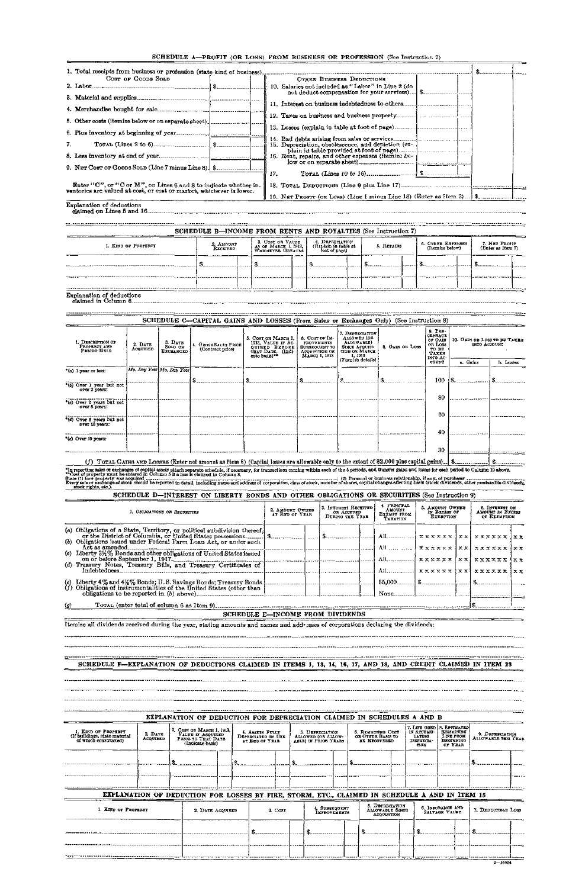| 1. Total receipts from business or profession (state kind of business).                                                                  |                                                    |  |
|------------------------------------------------------------------------------------------------------------------------------------------|----------------------------------------------------|--|
| Cost or Goods Sold                                                                                                                       | OTHER BUSINESS DEDUCTIONS                          |  |
|                                                                                                                                          | 10. Salaries not included as "Labor" in Line 2 (do |  |
|                                                                                                                                          |                                                    |  |
|                                                                                                                                          |                                                    |  |
| 5. Other costs (itemize below or on separate sheet) [                                                                                    |                                                    |  |
|                                                                                                                                          |                                                    |  |
| 7.                                                                                                                                       | 15. Depreciation, obsolescence, and depletion (ex- |  |
|                                                                                                                                          | 16. Rent, repairs, and other expenses (itemize be- |  |
|                                                                                                                                          |                                                    |  |
|                                                                                                                                          | 17.                                                |  |
| Enter "C", or "C or M", on Lines 6 and 8 to indicate whether in-<br>ventories are valued at cost, or cost or market, whichever is lower. |                                                    |  |
|                                                                                                                                          |                                                    |  |
| <b>Explanation of deductions</b>                                                                                                         |                                                    |  |

|                     |                       |                                          | SCHEDULE B-INCOME FROM RENTS AND ROYALTIES (See Instruction 7) |            |  |                                      |                                    |  |
|---------------------|-----------------------|------------------------------------------|----------------------------------------------------------------|------------|--|--------------------------------------|------------------------------------|--|
| I. KIND OF PROPERTY | 2. AMOUNT<br>RECEIVED | 3. Cost on Value<br>AS OF MARCH 1, 1913, | 4. DEPRECIATION<br>(Explain in table at<br>foot of page)       | 5. REPAIRS |  | 6. OTRER EXPENSES<br>(Itemiza below) | 7. NET PRO137 (Enter as Item $7$ ) |  |
|                     |                       |                                          |                                                                |            |  |                                      |                                    |  |
|                     |                       |                                          |                                                                |            |  |                                      |                                    |  |

Explanation of deductions claimed in Column 6

|                                                                                                                                                                                                                                                                                                         |                     |                                        | SCHEDULE C-CAPITAL GAINS AND LOSSES (From Sales or Exchanges Only) (See Instruction 8)       |                                                                                                         |                                                                                         |                                                                                                  |                                                                     |                                                                         |          |                                                    |                                |    |
|---------------------------------------------------------------------------------------------------------------------------------------------------------------------------------------------------------------------------------------------------------------------------------------------------------|---------------------|----------------------------------------|----------------------------------------------------------------------------------------------|---------------------------------------------------------------------------------------------------------|-----------------------------------------------------------------------------------------|--------------------------------------------------------------------------------------------------|---------------------------------------------------------------------|-------------------------------------------------------------------------|----------|----------------------------------------------------|--------------------------------|----|
| <b>I. DESCRIPTION OF</b><br>PROPERTY AND<br>PERIOD HELD                                                                                                                                                                                                                                                 | 2. DATE<br>ACQUIRED | 3. DATE<br>SOLD OR<br><b>EXCHANGED</b> | 4. GROSS SALES PRICE<br>(Contract price)                                                     | 5. Cost on March 1.<br>1913, VALUE IF AC-<br><b>OUIRED BEFORE</b><br>THAT DATE. (Indi-<br>cato basis)** | 6. COST OF IM-<br><b>PROVEMENTS</b><br>SUBSEQUENT TO<br>ACQUISITION OR<br>MARCU I, 1913 | 7. DEPRECIATION<br>ALLOWED (OR<br>ALLOWABLE)<br><b>SINCE ACQUISI-</b><br>TION OR MARCE<br>1,1913 | 8. GAIN OR LOSS                                                     | $9.$ PER-<br>CENTAGE<br>of Gain<br>OR LOSS<br>TO BE<br>TAXEN<br>ито Ас- |          | 10. GAIN OR LOSS TO BE TAXEN<br>INTO ACCOUNT       |                                |    |
|                                                                                                                                                                                                                                                                                                         |                     | Mo. Day Year Mo. Day Year              |                                                                                              |                                                                                                         |                                                                                         | (Furnish details)                                                                                |                                                                     | COUNT                                                                   | a. Gains |                                                    | b. Losses                      |    |
| *(a) 1 year or less:                                                                                                                                                                                                                                                                                    |                     |                                        |                                                                                              |                                                                                                         |                                                                                         |                                                                                                  |                                                                     |                                                                         |          |                                                    |                                |    |
| *(b) Over 1 year but not<br>over 2 years:                                                                                                                                                                                                                                                               |                     |                                        |                                                                                              |                                                                                                         | $\sim$ $\sim$                                                                           |                                                                                                  |                                                                     | 100.                                                                    |          | $\mathbf{S}$ and $\mathbf{S}$                      |                                |    |
| *(c) Over 2 years but not<br>over 5 years:                                                                                                                                                                                                                                                              |                     |                                        |                                                                                              |                                                                                                         |                                                                                         |                                                                                                  |                                                                     | 80                                                                      |          |                                                    |                                |    |
| (d) Over 5 vears but not                                                                                                                                                                                                                                                                                |                     |                                        |                                                                                              |                                                                                                         |                                                                                         |                                                                                                  |                                                                     | 60                                                                      |          |                                                    |                                |    |
| over 10 years:                                                                                                                                                                                                                                                                                          |                     |                                        |                                                                                              |                                                                                                         |                                                                                         |                                                                                                  |                                                                     | 40                                                                      |          |                                                    |                                |    |
| "(c) Over 10 years:                                                                                                                                                                                                                                                                                     |                     |                                        |                                                                                              |                                                                                                         |                                                                                         |                                                                                                  |                                                                     |                                                                         |          |                                                    |                                |    |
|                                                                                                                                                                                                                                                                                                         |                     |                                        |                                                                                              |                                                                                                         |                                                                                         |                                                                                                  |                                                                     | 30                                                                      |          |                                                    |                                |    |
| "In reporting sales or exchanges of capital assets attach separate schedule, if necessary, for transactions coming within each of the 5 periods, and itansfer gains and losses for each period to Column 10 above,<br>** Cost of property must be entered in Column 5 if a loss is claimed in Column 8. |                     |                                        |                                                                                              |                                                                                                         |                                                                                         |                                                                                                  |                                                                     |                                                                         |          |                                                    |                                |    |
| stock rights, etc.).                                                                                                                                                                                                                                                                                    |                     |                                        |                                                                                              |                                                                                                         |                                                                                         |                                                                                                  |                                                                     |                                                                         |          |                                                    |                                |    |
|                                                                                                                                                                                                                                                                                                         |                     |                                        | SCHEDULE D-INTEREST ON LIBERTY BONDS AND OTHER OBLIGATIONS OR SECURITIES (See Instruction 9) |                                                                                                         |                                                                                         |                                                                                                  |                                                                     |                                                                         |          |                                                    |                                |    |
|                                                                                                                                                                                                                                                                                                         |                     | 1. OBLIGATIONS OR SECURITIES           |                                                                                              | 2. AMOUNT OWNED<br>AT END OF YEAR                                                                       |                                                                                         | 3. INTEREST RECEIVED<br>OR ACCRUED<br>DURING THE YEAR                                            | 4. PRINCIPAL<br><b>AMOUNT</b><br>EXEMPT FROM<br>TAXATION            | 5. AMOUNT OWNED<br>IN EXCESS OF<br><b>EXEMPTION</b>                     |          | 8. INTEREST ON<br>AMOUNT IN EXCESS<br>OF EXEMPTION |                                |    |
| (a) Obligations of a State, Territory, or political subdivision thereof,                                                                                                                                                                                                                                |                     |                                        |                                                                                              |                                                                                                         |                                                                                         |                                                                                                  |                                                                     | XXXXXX XX                                                               |          | <b>xxxxxx</b>                                      |                                | xx |
| (c) Liberty 3%% Bonds and other obligations of United States issued                                                                                                                                                                                                                                     |                     |                                        |                                                                                              |                                                                                                         |                                                                                         |                                                                                                  |                                                                     | $\mathbf{X} \times \mathbf{X} \times \mathbf{X}$                        | X X      | xxxxxx                                             |                                | хx |
| on or before September 1, 1917. The Communication of the Communication of the September 1, 1917.                                                                                                                                                                                                        |                     |                                        |                                                                                              |                                                                                                         |                                                                                         |                                                                                                  | $All$ <sub>1</sub> $\mathbf{x} \times \mathbf{x} \times \mathbf{x}$ |                                                                         | xxl      | <b>xxxxxx</b>                                      | $\mathbf{1} \times \mathbf{x}$ |    |
|                                                                                                                                                                                                                                                                                                         |                     |                                        |                                                                                              |                                                                                                         |                                                                                         |                                                                                                  |                                                                     |                                                                         |          |                                                    |                                |    |
|                                                                                                                                                                                                                                                                                                         |                     |                                        |                                                                                              |                                                                                                         |                                                                                         |                                                                                                  |                                                                     |                                                                         |          |                                                    |                                |    |
| (g)                                                                                                                                                                                                                                                                                                     |                     |                                        |                                                                                              |                                                                                                         |                                                                                         |                                                                                                  |                                                                     |                                                                         |          |                                                    |                                |    |
|                                                                                                                                                                                                                                                                                                         |                     |                                        |                                                                                              | SCHEDULE E-INCOME FROM DIVIDENDS                                                                        |                                                                                         |                                                                                                  |                                                                     |                                                                         |          |                                                    |                                |    |

Itemize all dividends received during the year, stating amounts and names and addresses of corporations declaring the dividends:

----------------------

SCHEDULE F—EXPLANATION OF DEDUCTIONS CLAIMED IN ITEMS 1, 13, 14, 16, 17, AND 18, AND CREDIT CLAIMED IN ITEM 23

|                                                                               |                    | EXPLANATION OF DEDUCTION FOR DEPRECIATION CLAIMED IN SCHEDULES A AND B                                             |                                                         |                                                               |                                                        |                                                               |                                                                                                     |                                        |
|-------------------------------------------------------------------------------|--------------------|--------------------------------------------------------------------------------------------------------------------|---------------------------------------------------------|---------------------------------------------------------------|--------------------------------------------------------|---------------------------------------------------------------|-----------------------------------------------------------------------------------------------------|----------------------------------------|
| 1. KIND OF PROPERTY<br>(If buildings, state material<br>of which constructed) | 2 DATE<br>ACQUIRED | 3. COST OR MARCH 1, 1913,<br>VALUE IT ACQUIRED<br>PRIOR TO THAT DATE<br>(Ladicate basis)                           | 4. ASSETS FULLY<br>DEPRECIATED IN USE<br>AT END OF YEAR | 5. DEPRECIATION<br>ALLOWED (OR ALLOW-<br>ABLE) IN PRIOR YEARS | 6. REMAINING COST<br>OB OTHER BASIS TO<br>BE RECOVERED | IN ACCUMU-<br><b>LATING</b><br><b>DEPERTA-</b><br><b>TION</b> | 7. LIFE USED   8. ESTIMATED!<br><b>REMAINING</b><br><b>LITE FROM</b><br><b>BEGINNING</b><br>or YEAR | 9. DEPRECIATION<br>ALLOWABLE THIS YEAR |
|                                                                               |                    |                                                                                                                    |                                                         |                                                               |                                                        |                                                               |                                                                                                     |                                        |
|                                                                               |                    |                                                                                                                    |                                                         |                                                               |                                                        |                                                               |                                                                                                     |                                        |
| 1. KIND OF PROPERTY                                                           |                    | EXPLANATION OF DEDUCTION FOR LOSSES BY FIRE, STORM, ETC., CLAIMED IN SCHEDULE A AND IN ITEM 15<br>2. DATE ACQUIRED | 3. COST                                                 | 4. SUBSEQUENT                                                 | 5. DEFRECIATION<br><b>ALLOWABLE SINCE</b>              |                                                               | 6. INSURANCE AND                                                                                    | 7. DEDUCTBLE LOSS                      |
|                                                                               |                    |                                                                                                                    |                                                         | <b>IMPROVEMENTS</b>                                           | ACOURTION                                              |                                                               | <b>SALVAGE VALUE</b>                                                                                |                                        |
|                                                                               |                    |                                                                                                                    |                                                         |                                                               |                                                        |                                                               |                                                                                                     |                                        |
|                                                                               |                    |                                                                                                                    |                                                         |                                                               |                                                        |                                                               |                                                                                                     |                                        |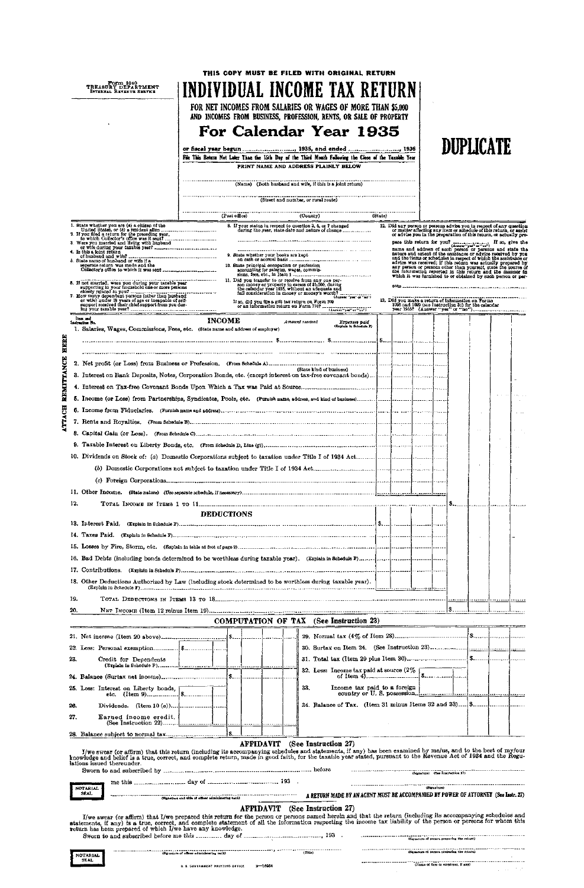| Form 1040<br>TREASURY DEPARTMENT<br>INTERNAL REVENUE SERVICE                                                                                                                                                                                |                   | THIS COPY MUST BE FILED WITH ORIGINAL RETURN<br><b>INDIVIDUAL INCOME TAX RETURN</b><br>FOR NET INCOMES FROM SALARIES OR WAGES OF MORE THAN \$5,000<br>AND INCOMES FROM BUSINESS, PROFESSION, RENTS, OR SALE OF PROPERTY<br>For Calendar Year 1935<br>File This Return Not Later Than the 15th Day of the Third Month Following the Close of the Taxable Year<br>(Name) (Both husband and wife, if this is a joint return) | PRINT NAME AND ADDRESS PLAINLY BELOW<br>(Street and number, or rutal route) |                              |                                                                                                                                                                                            | DUPLICATE     |  |
|---------------------------------------------------------------------------------------------------------------------------------------------------------------------------------------------------------------------------------------------|-------------------|---------------------------------------------------------------------------------------------------------------------------------------------------------------------------------------------------------------------------------------------------------------------------------------------------------------------------------------------------------------------------------------------------------------------------|-----------------------------------------------------------------------------|------------------------------|--------------------------------------------------------------------------------------------------------------------------------------------------------------------------------------------|---------------|--|
|                                                                                                                                                                                                                                             |                   | (Post office)                                                                                                                                                                                                                                                                                                                                                                                                             | (County)                                                                    | (State)                      |                                                                                                                                                                                            |               |  |
|                                                                                                                                                                                                                                             |                   | 8. If your status in respect to question 3, 6, or 7 changed                                                                                                                                                                                                                                                                                                                                                               |                                                                             |                              | 12. Did any person or persons advise you in respect of any question                                                                                                                        |               |  |
|                                                                                                                                                                                                                                             |                   |                                                                                                                                                                                                                                                                                                                                                                                                                           | during the year, state date and nature of change                            |                              | or matter affecting any item or schedule of this return, or assist or advise you in the preparation of this return, or actually pre-                                                       |               |  |
| 1. State whether you are (a) a climen of the<br>United States, or (b) a resident alien<br>2. If you fied a return for the proceding year,<br>to which Collector's office was it sent<br>3. Were you married and living with husband<br>3    |                   |                                                                                                                                                                                                                                                                                                                                                                                                                           |                                                                             |                              |                                                                                                                                                                                            |               |  |
| 4. Is thís a joint return<br>5. State name of husband or wife if a                                                                                                                                                                          |                   | 9. State whether your books are kept                                                                                                                                                                                                                                                                                                                                                                                      |                                                                             |                              | name and address of such person or persons and state the nature and extent of the assistance or advice received by you<br>and the items or schedules in respect of which the assistance or |               |  |
| separate return was made and the                                                                                                                                                                                                            |                   | 10. State principal occupation or profession<br>accounting for salaries, wages, commis-                                                                                                                                                                                                                                                                                                                                   |                                                                             |                              | advice was received; if this return was actually prepared by any person or persons other than yourself, state the source of the information reported in this return and the manner in      |               |  |
|                                                                                                                                                                                                                                             |                   | 11. Did you transfer to or receive from any one per-                                                                                                                                                                                                                                                                                                                                                                      |                                                                             |                              | which it was furnished to or obtained by such person or per-                                                                                                                               |               |  |
| 5. If not married, were you during your taxable year                                                                                                                                                                                        |                   | son money or property in excess of \$5,000, during<br>the catendar year 1935, without an adequate and                                                                                                                                                                                                                                                                                                                     |                                                                             |                              |                                                                                                                                                                                            |               |  |
| supporting in your household one or more persons<br>consequence to a your numerical consequence of the persons (other than husband<br>$\sigma$ wife) under 18 years of age or incepable of self-<br>or wife) under 18 years of age or incep |                   |                                                                                                                                                                                                                                                                                                                                                                                                                           |                                                                             |                              | <br>13. Did you make a return of information on Forms                                                                                                                                      |               |  |
| support received their chief support from you dur-                                                                                                                                                                                          |                   | If so, did you file a gift tax return on Form 709<br>or an information return on Form 7107                                                                                                                                                                                                                                                                                                                                |                                                                             |                              | 1096 and 1099 (see Instruction 31) for the calendar                                                                                                                                        |               |  |
| lies and<br>lashuction No.                                                                                                                                                                                                                  | <b>INCOME</b>     |                                                                                                                                                                                                                                                                                                                                                                                                                           | Amount received                                                             | Expenses puid                |                                                                                                                                                                                            |               |  |
| 1. Salaries, Wages, Commissions, Fees, etc. (State name and address of employer)                                                                                                                                                            |                   |                                                                                                                                                                                                                                                                                                                                                                                                                           |                                                                             | (Explain to Sohedule F)      |                                                                                                                                                                                            |               |  |
|                                                                                                                                                                                                                                             |                   |                                                                                                                                                                                                                                                                                                                                                                                                                           |                                                                             |                              |                                                                                                                                                                                            |               |  |
|                                                                                                                                                                                                                                             |                   |                                                                                                                                                                                                                                                                                                                                                                                                                           |                                                                             |                              |                                                                                                                                                                                            |               |  |
|                                                                                                                                                                                                                                             |                   |                                                                                                                                                                                                                                                                                                                                                                                                                           |                                                                             |                              |                                                                                                                                                                                            |               |  |
|                                                                                                                                                                                                                                             |                   |                                                                                                                                                                                                                                                                                                                                                                                                                           | (State kind of business)                                                    |                              |                                                                                                                                                                                            |               |  |
|                                                                                                                                                                                                                                             |                   |                                                                                                                                                                                                                                                                                                                                                                                                                           |                                                                             |                              |                                                                                                                                                                                            |               |  |
|                                                                                                                                                                                                                                             |                   |                                                                                                                                                                                                                                                                                                                                                                                                                           |                                                                             |                              |                                                                                                                                                                                            |               |  |
|                                                                                                                                                                                                                                             |                   |                                                                                                                                                                                                                                                                                                                                                                                                                           |                                                                             |                              |                                                                                                                                                                                            |               |  |
|                                                                                                                                                                                                                                             |                   |                                                                                                                                                                                                                                                                                                                                                                                                                           |                                                                             |                              |                                                                                                                                                                                            |               |  |
|                                                                                                                                                                                                                                             |                   |                                                                                                                                                                                                                                                                                                                                                                                                                           |                                                                             |                              |                                                                                                                                                                                            | $\sim$ $\sim$ |  |
|                                                                                                                                                                                                                                             |                   |                                                                                                                                                                                                                                                                                                                                                                                                                           |                                                                             |                              |                                                                                                                                                                                            |               |  |
|                                                                                                                                                                                                                                             |                   |                                                                                                                                                                                                                                                                                                                                                                                                                           |                                                                             |                              |                                                                                                                                                                                            |               |  |
|                                                                                                                                                                                                                                             |                   |                                                                                                                                                                                                                                                                                                                                                                                                                           |                                                                             |                              |                                                                                                                                                                                            |               |  |
|                                                                                                                                                                                                                                             |                   |                                                                                                                                                                                                                                                                                                                                                                                                                           |                                                                             |                              |                                                                                                                                                                                            |               |  |
|                                                                                                                                                                                                                                             |                   |                                                                                                                                                                                                                                                                                                                                                                                                                           |                                                                             |                              |                                                                                                                                                                                            |               |  |
|                                                                                                                                                                                                                                             |                   |                                                                                                                                                                                                                                                                                                                                                                                                                           |                                                                             |                              |                                                                                                                                                                                            |               |  |
| 12.                                                                                                                                                                                                                                         |                   |                                                                                                                                                                                                                                                                                                                                                                                                                           |                                                                             |                              |                                                                                                                                                                                            |               |  |
|                                                                                                                                                                                                                                             | <b>DEDUCTIONS</b> |                                                                                                                                                                                                                                                                                                                                                                                                                           |                                                                             |                              |                                                                                                                                                                                            |               |  |
|                                                                                                                                                                                                                                             |                   |                                                                                                                                                                                                                                                                                                                                                                                                                           |                                                                             |                              |                                                                                                                                                                                            |               |  |
|                                                                                                                                                                                                                                             |                   |                                                                                                                                                                                                                                                                                                                                                                                                                           |                                                                             |                              |                                                                                                                                                                                            |               |  |
|                                                                                                                                                                                                                                             |                   |                                                                                                                                                                                                                                                                                                                                                                                                                           |                                                                             |                              |                                                                                                                                                                                            |               |  |
|                                                                                                                                                                                                                                             |                   |                                                                                                                                                                                                                                                                                                                                                                                                                           |                                                                             |                              |                                                                                                                                                                                            |               |  |
|                                                                                                                                                                                                                                             |                   |                                                                                                                                                                                                                                                                                                                                                                                                                           |                                                                             |                              |                                                                                                                                                                                            |               |  |
| 18. Other Deductions Authorized by Law (including stock determined to be worthless during taxable year). $\vert$                                                                                                                            |                   |                                                                                                                                                                                                                                                                                                                                                                                                                           |                                                                             |                              |                                                                                                                                                                                            |               |  |
|                                                                                                                                                                                                                                             |                   |                                                                                                                                                                                                                                                                                                                                                                                                                           |                                                                             |                              |                                                                                                                                                                                            |               |  |
| 19.                                                                                                                                                                                                                                         |                   |                                                                                                                                                                                                                                                                                                                                                                                                                           |                                                                             |                              |                                                                                                                                                                                            |               |  |
| 20.                                                                                                                                                                                                                                         |                   |                                                                                                                                                                                                                                                                                                                                                                                                                           |                                                                             |                              |                                                                                                                                                                                            |               |  |
|                                                                                                                                                                                                                                             |                   | COMPUTATION OF TAX (See Instruction 23)                                                                                                                                                                                                                                                                                                                                                                                   |                                                                             |                              |                                                                                                                                                                                            |               |  |
|                                                                                                                                                                                                                                             |                   |                                                                                                                                                                                                                                                                                                                                                                                                                           |                                                                             |                              |                                                                                                                                                                                            |               |  |
|                                                                                                                                                                                                                                             |                   |                                                                                                                                                                                                                                                                                                                                                                                                                           |                                                                             |                              |                                                                                                                                                                                            |               |  |
| 23.<br>Credit for Dependents                                                                                                                                                                                                                |                   |                                                                                                                                                                                                                                                                                                                                                                                                                           |                                                                             |                              |                                                                                                                                                                                            |               |  |
|                                                                                                                                                                                                                                             |                   |                                                                                                                                                                                                                                                                                                                                                                                                                           |                                                                             |                              |                                                                                                                                                                                            |               |  |
|                                                                                                                                                                                                                                             |                   |                                                                                                                                                                                                                                                                                                                                                                                                                           |                                                                             |                              |                                                                                                                                                                                            |               |  |
| 25. Less: Interest on Liberty bonds, $\begin{array}{ c c c c c }\n\hline\n& \text{etc.} & \text{(Item 9)}\n\hline\n\end{array}$                                                                                                             |                   |                                                                                                                                                                                                                                                                                                                                                                                                                           | 33.                                                                         | Income tax paid to a foreign |                                                                                                                                                                                            |               |  |

ATTACH REMITTANCE HERE

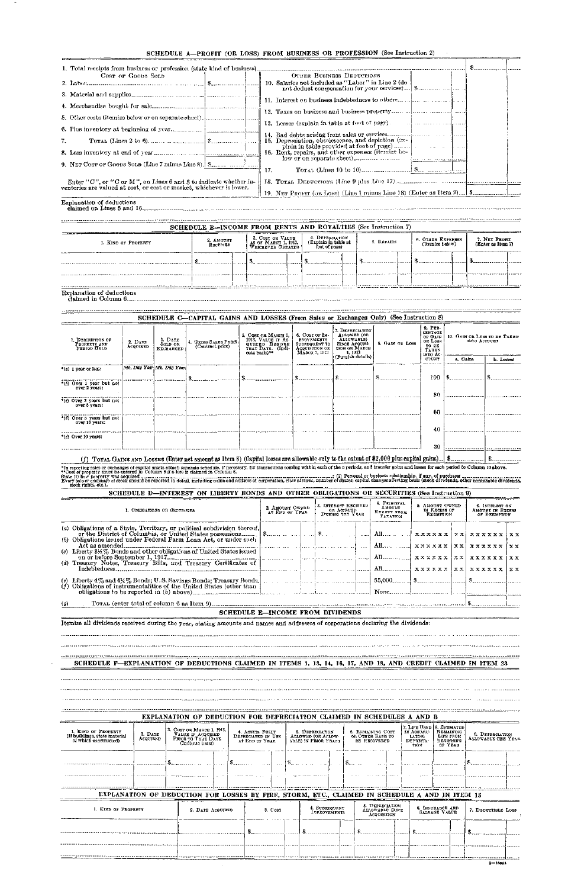| 1. Total receipts from business or profession (state kind of business).                                                                  |                                                                                                |  |
|------------------------------------------------------------------------------------------------------------------------------------------|------------------------------------------------------------------------------------------------|--|
| Cost or Goops Solp                                                                                                                       | OTHER BUSINESS DEDUCTIONS                                                                      |  |
|                                                                                                                                          | 10. Salaries not included as "Labor" in Line 2 (do                                             |  |
|                                                                                                                                          |                                                                                                |  |
|                                                                                                                                          |                                                                                                |  |
|                                                                                                                                          |                                                                                                |  |
|                                                                                                                                          | 13. Losses (explain in table at foot of page). $\Box$ $\Box$ $\Box$ $\Box$ $\Box$ $\Box$       |  |
|                                                                                                                                          |                                                                                                |  |
| $7-$                                                                                                                                     | 15. Depreciation, obsolescence, and depiction (ex-<br>plain in table provided at foot of page) |  |
|                                                                                                                                          | 16. Rent, repairs, and other expenses (itemize be-                                             |  |
|                                                                                                                                          |                                                                                                |  |
|                                                                                                                                          | 17.                                                                                            |  |
| Enter "C", or "C or M", on Lines 6 and 8 to indicate whether in-<br>ventories are valued at cost, or cost or market, whichever is lower. |                                                                                                |  |
|                                                                                                                                          |                                                                                                |  |
| Explanation of deductions                                                                                                                |                                                                                                |  |

|                     | SCHEDULE B--INCOME FROM RENTS AND ROYALTIES (See Instruction 7)           |  |  |  |                                                          |  |            |  |                                      |  |                                    |  |
|---------------------|---------------------------------------------------------------------------|--|--|--|----------------------------------------------------------|--|------------|--|--------------------------------------|--|------------------------------------|--|
| I. KIND OF PROFERTY | 2. AMOUNT<br>AS OF MARCH 1, 1913,<br>WRICHEVER GREATER<br><b>RECEIVED</b> |  |  |  | 4. DEPRECIATION<br>(Explain in table at<br>foot of page) |  | 5. REPAIRS |  | 6. OTHER EXPENSES<br>(Itemize below) |  | 7. NET PROFIT<br>(Enter as Item 7) |  |
|                     |                                                                           |  |  |  |                                                          |  |            |  |                                      |  |                                    |  |
|                     |                                                                           |  |  |  |                                                          |  |            |  |                                      |  |                                    |  |
|                     |                                                                           |  |  |  |                                                          |  |            |  |                                      |  |                                    |  |
|                     |                                                                           |  |  |  |                                                          |  |            |  |                                      |  |                                    |  |

# Explanation of deductions

| claimed in Column 6 |  |  |  |
|---------------------|--|--|--|
|---------------------|--|--|--|

\*In reporting sales or exchanges of capital assets attach separato schedule, if necessary, for transactions coming within each of the 5 periods, and transfer goins and losses for each period to Column 10 above.<br>\*Cost of pr stock rights, etc.). \_\_\_\_\_\_\_\_\_\_\_\_

| $9.$ PER-                                                                                                                                                                                                                                                                                                                                                                                                                                                                                                                                                                                                 |           |
|-----------------------------------------------------------------------------------------------------------------------------------------------------------------------------------------------------------------------------------------------------------------------------------------------------------------------------------------------------------------------------------------------------------------------------------------------------------------------------------------------------------------------------------------------------------------------------------------------------------|-----------|
| 7. DEPRECIATION<br><b>CENTAGE</b><br>ALLOWED (OR<br>5. COST OR MARCH 1,<br>6. COST OF IM-<br>10. GAIN OR LOSS TO BE TAKEN.<br>OF GAIN<br>1913, VALUE IT AC-<br>ALLOWABLE)<br>3. DATE<br><b>PROVEMENTS</b><br>1. DESCRIPTION OF<br>OR LOSS<br>INTO ACCOUNT<br>4. GROSS SALES PRICE<br>2. DATE<br>8. GAIN OR LOSS<br>SOLD OR<br><b>SINCE ACQUISI-</b><br>QUIRED BEFORE<br>SUBSEQUENT TO<br>PROPERTY AND<br>TO SE<br><b>ACQUIRED</b><br>PERIOD HELD<br>TION OR MARCH<br>THAT DATE. (Indi-<br>ACQUISITION OR<br><b>EXGRANGED</b><br>TAREN<br>cate basis) <sup>32</sup><br>1, 1913<br>Мавси 1, 1913<br>into Ac |           |
| (Furnish details)<br>COUNT<br>a. Gains                                                                                                                                                                                                                                                                                                                                                                                                                                                                                                                                                                    | b. Losses |
| Mo. Day Year Mo. Day Year<br>*(a) 1 year or less:                                                                                                                                                                                                                                                                                                                                                                                                                                                                                                                                                         |           |
| 100                                                                                                                                                                                                                                                                                                                                                                                                                                                                                                                                                                                                       |           |
| "(b) Over 1 year but not<br>over 2 years:                                                                                                                                                                                                                                                                                                                                                                                                                                                                                                                                                                 |           |
| 80<br>*(c) Over 2 years but not                                                                                                                                                                                                                                                                                                                                                                                                                                                                                                                                                                           |           |
| over 5 years:                                                                                                                                                                                                                                                                                                                                                                                                                                                                                                                                                                                             |           |
| 60<br>*(d) Over 5 years but not                                                                                                                                                                                                                                                                                                                                                                                                                                                                                                                                                                           |           |
| over 10 years:                                                                                                                                                                                                                                                                                                                                                                                                                                                                                                                                                                                            |           |
| 40                                                                                                                                                                                                                                                                                                                                                                                                                                                                                                                                                                                                        |           |
| "(c) Over 10 years:                                                                                                                                                                                                                                                                                                                                                                                                                                                                                                                                                                                       |           |
| -30                                                                                                                                                                                                                                                                                                                                                                                                                                                                                                                                                                                                       |           |
| <b>A A FORD OF STREET COMPANY OF STREET IS A SECTION OF A STREET IS AND ITEMS ASSOCIATED ASSOCIATED ASSOCIATED</b> AND A                                                                                                                                                                                                                                                                                                                                                                                                                                                                                  |           |

(f) TorAL GAINS AND LOSSES (Enter net amount as Item 8) (Capital losses are allowable only to the extent of \$2,000 plus capital gains). [ \$. <u>. . . . | \$. . . . . . . . . . . .</u>

SCHEDULE D—INTEREST ON LIBERTY BONDS AND OTHER OBLIGATIONS OR SECURITIES (See Instruction 9)

| 1. OBLIGATIONS OR SECURITIES                                                                                                                  | 2. AMOUNT OWNED<br>AT END OF YEAR | 3. IRTEREST RECEIVED<br>OR ACCRUED<br>DURING THE YEAR | 4. PRINCIPAL<br>AMOUNT<br>EXEMPT FROM<br>TAXATION | 5. AMOUNT OWNED<br>IN EXCESS OF<br><b>EXEMPTION</b> | <b>6. INTEREST ON</b><br>AMOUNT IN EXCESS<br>OF EXEMPTION                                                                                                                                                 |
|-----------------------------------------------------------------------------------------------------------------------------------------------|-----------------------------------|-------------------------------------------------------|---------------------------------------------------|-----------------------------------------------------|-----------------------------------------------------------------------------------------------------------------------------------------------------------------------------------------------------------|
| (a) Obligations of a State, Territory, or political subdivision thereof,<br>(b) Obligations issued under Federal Farm Loan Act, or under such |                                   |                                                       |                                                   |                                                     | All $\mathbf{x} \times \mathbf{x} \times \mathbf{x} \times \mathbf{x}$ \ $\mathbf{x} \times \mathbf{x} \times \mathbf{x} \times \mathbf{x} \times \mathbf{x}$<br>l x x<br>  All  xxxxxx   xx  xxxxxx   xx |
|                                                                                                                                               |                                   |                                                       |                                                   |                                                     |                                                                                                                                                                                                           |
|                                                                                                                                               | SCHEDULE E-INCOME FROM DIVIDENDS  |                                                       |                                                   |                                                     |                                                                                                                                                                                                           |
| Itemize all dividends received during the year, stating amounts and names and addresses of corporations declaring the dividends:              |                                   |                                                       |                                                   |                                                     |                                                                                                                                                                                                           |

SCHEDULE F-EXPLANATION OF DEDUCTIONS CLAIMED IN ITEMS 1, 13, 14, 16, 17, AND 18, AND CREDIT CLAIMED IN ITEM 23

EXPLANATION OF DEDUCTION FOR DEPRECIATION CLAIMED IN SCHEDULES A AND B 7. LIFE USED IN ACCUMU-LATING DEPRECIA-TION 8. ESTIMATED<br>REMAINING<br>LIFE FROM<br>BEGINNING<br>OF YEAR 3. COST OR MARCH 1, 1913,<br>VALUE IF ACQUIRED<br>PRIOR TO THAT DATE<br>(Indicate basis) 1. KIND OF PROPERTT (If buildings, state material of which constructed) 4. ASSETS FULLY DEPRECIATED IN USE AT END OF YEAR 5. DEPRECUATION<br>ALLOWED (OR ALLOW-<br>ABLE) IN PRIOR YEARS 6. REMAINING COST OP. OTHER BASIS TO BE RECOVERED 2. DATE ACQUIRED **9. DEPRECIATION**<br>**ALLOWABLE THIS YEAR \$-** \$.  $\mathbf{3}$ ... **\$-..**  ۴.  $\sim$  $\ddotsc$  $\sim$   $\sim$   $\sim$ EXPLANATION OF DEDUCTION FOR LOSSES BY FIRE, STORM, ETC., CLAIMED IN SCHEDULE A AND IN ITEM 15 *B.* Depreciation<br>Allowable Since<br>Acquisition 1. KIND OF PROPERTY 2. DATE ACQUIRED 3. COST 4. SUBSEQUENT IMPROVEMENTS 6. Insurance and<br>- Salvage Value 7. DEDUCTIBLE LOSS \$ \$ \$ \$ \$ ----------------<br>--<del>-------------</del> 55  $3 - 16964$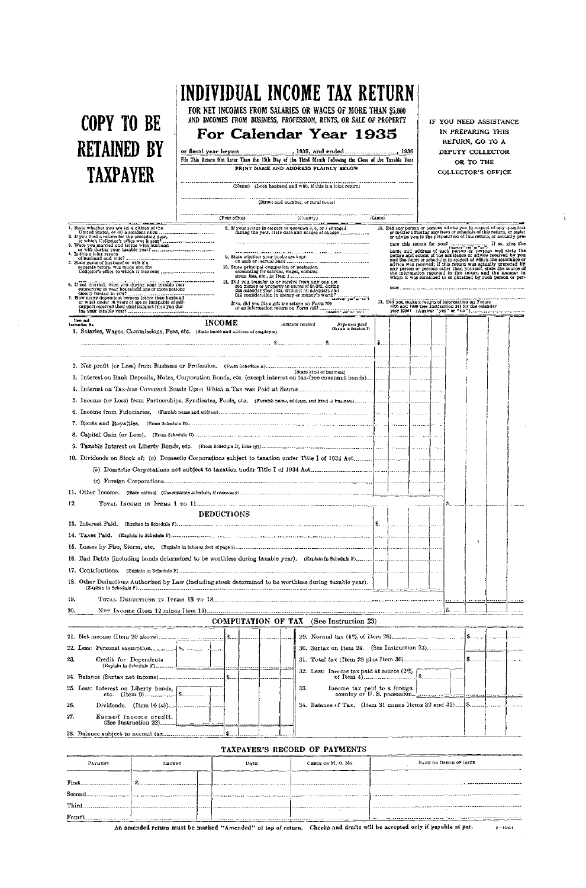# **COPY TO BE RETAINED BY TAXPAYER**

**FOR NET INCOMES FROM SALARIES OR WAGES OF MORE THAN \$5,000**  AND INCOMES FROM BUSINESS, PROFESSION, RENTS, OR SALE OF PROPERTY

# **For Calendar Year 193 5**

or fiscal yea r begun . \_ , 193S, an d ende d , 1936 File This Return Not Later Than the 15th Day of the Third Month Following the Close of the Taxable Year PRINT NAME AND ADDRESS PLAINLY BELOW

(Name) (Both husband and wife, if this is a joint return)

(Street and number, or rural route)

|                                                                                                                       | (Post office)     |                                              | (County)                                                                                                                                                        | (State) |                                                                                                                      |                                                     |  |                                                                                                                                         |  |
|-----------------------------------------------------------------------------------------------------------------------|-------------------|----------------------------------------------|-----------------------------------------------------------------------------------------------------------------------------------------------------------------|---------|----------------------------------------------------------------------------------------------------------------------|-----------------------------------------------------|--|-----------------------------------------------------------------------------------------------------------------------------------------|--|
| 1. State whether you are (a) a citizen of the                                                                         |                   |                                              | 8. If your status in resucct to occastion 3, 6, or 7 changed                                                                                                    |         | 12. Did any person or persons advise you in respect of any question                                                  |                                                     |  |                                                                                                                                         |  |
| 2. If you filed a return for the preceding year,                                                                      |                   |                                              | during the year, state date and nature of change                                                                                                                |         |                                                                                                                      |                                                     |  | or matter affecting any item or schedule of this return, or assist<br>or advise you in the preparation of this return, or actually pre- |  |
| 3. Were you married and living with husband                                                                           |                   |                                              |                                                                                                                                                                 |         |                                                                                                                      |                                                     |  |                                                                                                                                         |  |
| 4. Is this a joint return                                                                                             |                   | 9. State whether your books are kept         |                                                                                                                                                                 |         |                                                                                                                      |                                                     |  | nature and extent of the assistance or advice received by you<br>and the items or schedules in respect of which the assistance or       |  |
| 6. State name of husband or wife if a<br>separate roturn was made and the                                             |                   | 10. State principal occupation or profession |                                                                                                                                                                 |         |                                                                                                                      |                                                     |  | advice was received; if this return was actually prepared by<br>any person or persons other than yourself, state the source of          |  |
|                                                                                                                       |                   | accounting for salaries, wages, commis-      |                                                                                                                                                                 |         |                                                                                                                      |                                                     |  | the information reported in this return and the manner in<br>which it was furnished to or obtained by such person or per-               |  |
| 6. If not matrical, were you during your taxable year<br>supporting in your household one or more persons             |                   |                                              | 11. Did you transfer to or receive from any one per-<br>son money or property in excess of \$5,000, during                                                      |         |                                                                                                                      |                                                     |  |                                                                                                                                         |  |
| 7. How many dependent persons (other than husband                                                                     |                   |                                              | the calendar year 1935, without an adequate and<br>full consideration in money or money's worth?<br>thousant "yea" or "no"!                                     |         |                                                                                                                      |                                                     |  |                                                                                                                                         |  |
| or wife) under 18 years of age or incapable of self-<br>support received their chief support from you dur-            |                   |                                              | If so, did you file a gift tax return on Form 709.<br>or an information return on Form 7107<br>- or an information return on Form 7107<br>- (Assect yet or not) |         | 13. Did you make a return of information on Forms                                                                    | 1006 and 1099 (see Instruction 31) for the calendar |  |                                                                                                                                         |  |
| liers and                                                                                                             | <b>INCOME</b>     |                                              |                                                                                                                                                                 |         |                                                                                                                      |                                                     |  |                                                                                                                                         |  |
| <b>Tustraction No.</b><br>1. Salaries, Wages, Commissions, Fees, etc. (State name and address of employer)            |                   |                                              | Amount received<br>Ervenses paid<br>(Explain in Sohnduis F)                                                                                                     |         |                                                                                                                      |                                                     |  |                                                                                                                                         |  |
|                                                                                                                       |                   |                                              |                                                                                                                                                                 |         |                                                                                                                      |                                                     |  |                                                                                                                                         |  |
|                                                                                                                       |                   |                                              |                                                                                                                                                                 |         |                                                                                                                      |                                                     |  |                                                                                                                                         |  |
|                                                                                                                       |                   |                                              |                                                                                                                                                                 |         |                                                                                                                      |                                                     |  |                                                                                                                                         |  |
|                                                                                                                       |                   |                                              | (State kind of business)                                                                                                                                        |         |                                                                                                                      |                                                     |  |                                                                                                                                         |  |
|                                                                                                                       |                   |                                              |                                                                                                                                                                 |         |                                                                                                                      |                                                     |  |                                                                                                                                         |  |
|                                                                                                                       |                   |                                              |                                                                                                                                                                 |         |                                                                                                                      |                                                     |  |                                                                                                                                         |  |
|                                                                                                                       |                   |                                              |                                                                                                                                                                 |         |                                                                                                                      |                                                     |  |                                                                                                                                         |  |
|                                                                                                                       |                   |                                              |                                                                                                                                                                 |         |                                                                                                                      |                                                     |  |                                                                                                                                         |  |
|                                                                                                                       |                   |                                              |                                                                                                                                                                 |         |                                                                                                                      |                                                     |  |                                                                                                                                         |  |
|                                                                                                                       |                   |                                              |                                                                                                                                                                 |         |                                                                                                                      |                                                     |  |                                                                                                                                         |  |
|                                                                                                                       |                   |                                              |                                                                                                                                                                 |         |                                                                                                                      |                                                     |  |                                                                                                                                         |  |
|                                                                                                                       |                   |                                              |                                                                                                                                                                 |         |                                                                                                                      |                                                     |  |                                                                                                                                         |  |
|                                                                                                                       |                   |                                              |                                                                                                                                                                 |         |                                                                                                                      |                                                     |  |                                                                                                                                         |  |
|                                                                                                                       |                   |                                              |                                                                                                                                                                 |         |                                                                                                                      |                                                     |  |                                                                                                                                         |  |
|                                                                                                                       |                   |                                              |                                                                                                                                                                 |         |                                                                                                                      |                                                     |  |                                                                                                                                         |  |
| 12.                                                                                                                   |                   |                                              |                                                                                                                                                                 |         |                                                                                                                      |                                                     |  |                                                                                                                                         |  |
|                                                                                                                       | <b>DEDUCTIONS</b> |                                              |                                                                                                                                                                 |         |                                                                                                                      |                                                     |  |                                                                                                                                         |  |
|                                                                                                                       |                   |                                              |                                                                                                                                                                 |         |                                                                                                                      |                                                     |  |                                                                                                                                         |  |
|                                                                                                                       |                   |                                              |                                                                                                                                                                 |         |                                                                                                                      |                                                     |  |                                                                                                                                         |  |
|                                                                                                                       |                   |                                              |                                                                                                                                                                 |         |                                                                                                                      |                                                     |  |                                                                                                                                         |  |
|                                                                                                                       |                   |                                              |                                                                                                                                                                 |         |                                                                                                                      |                                                     |  |                                                                                                                                         |  |
|                                                                                                                       |                   |                                              |                                                                                                                                                                 |         |                                                                                                                      |                                                     |  |                                                                                                                                         |  |
| 18. Other Deductions Authorized by Law (including stock determined to be worthless during taxable year).              |                   |                                              |                                                                                                                                                                 |         |                                                                                                                      |                                                     |  |                                                                                                                                         |  |
| 19.                                                                                                                   |                   |                                              |                                                                                                                                                                 |         |                                                                                                                      |                                                     |  |                                                                                                                                         |  |
| 20.                                                                                                                   |                   |                                              |                                                                                                                                                                 |         |                                                                                                                      |                                                     |  |                                                                                                                                         |  |
|                                                                                                                       |                   |                                              | <b>COMPUTATION OF TAX</b> (See Instruction 23)                                                                                                                  |         |                                                                                                                      |                                                     |  |                                                                                                                                         |  |
| <u>an dinastian di kacamatan di Samuel di Samuel di Samuel di Samuel di Samuel di Samuel di Samuel di Samuel di S</u> |                   |                                              |                                                                                                                                                                 |         | <u> 1977 - 1977 - 1977 - 1988 - 1989 - 1989 - 1989 - 1989 - 1989 - 1989 - 1989 - 1989 - 1989 - 1989 - 1989 - 198</u> |                                                     |  |                                                                                                                                         |  |
|                                                                                                                       |                   |                                              |                                                                                                                                                                 |         |                                                                                                                      |                                                     |  |                                                                                                                                         |  |
|                                                                                                                       |                   |                                              |                                                                                                                                                                 |         |                                                                                                                      |                                                     |  |                                                                                                                                         |  |
| 23.<br>Credit for Dependents                                                                                          |                   |                                              |                                                                                                                                                                 |         |                                                                                                                      |                                                     |  |                                                                                                                                         |  |
|                                                                                                                       |                   |                                              |                                                                                                                                                                 |         |                                                                                                                      |                                                     |  |                                                                                                                                         |  |
| 25. Less: Interest on Liberty bonds,                                                                                  |                   |                                              | Income tax paid to a foreign<br>33.<br>country or U.S. possession.                                                                                              |         |                                                                                                                      |                                                     |  |                                                                                                                                         |  |
| 26.                                                                                                                   |                   |                                              |                                                                                                                                                                 |         |                                                                                                                      |                                                     |  |                                                                                                                                         |  |

**IF YOU NEED ASSISTANCE IN PREPARING THIS RETURN, GO TO A DEPUTY COLLECTOR OR TO THE COLLECTOR'S OFFICE** 

**An amended return must be marked** "Amended" at **top of** return. Checks **and** drafts will be accepted **only if payable at par.**  $2 - 16954$ 



# TAXPAYER'S RECORD OF PAYMENTS

| PAYMENT      | <b>AMOUNT</b>                          |  | DATE | CHECK OR M. O. No. | <b>BANK OR OFFICE OF ISSUE</b> |
|--------------|----------------------------------------|--|------|--------------------|--------------------------------|
| <b>First</b> |                                        |  |      |                    |                                |
| $\rm Second$ |                                        |  |      |                    |                                |
| <b>Third</b> |                                        |  |      |                    |                                |
| Fourth       | ------------ <b>!</b> ---------------- |  |      |                    |                                |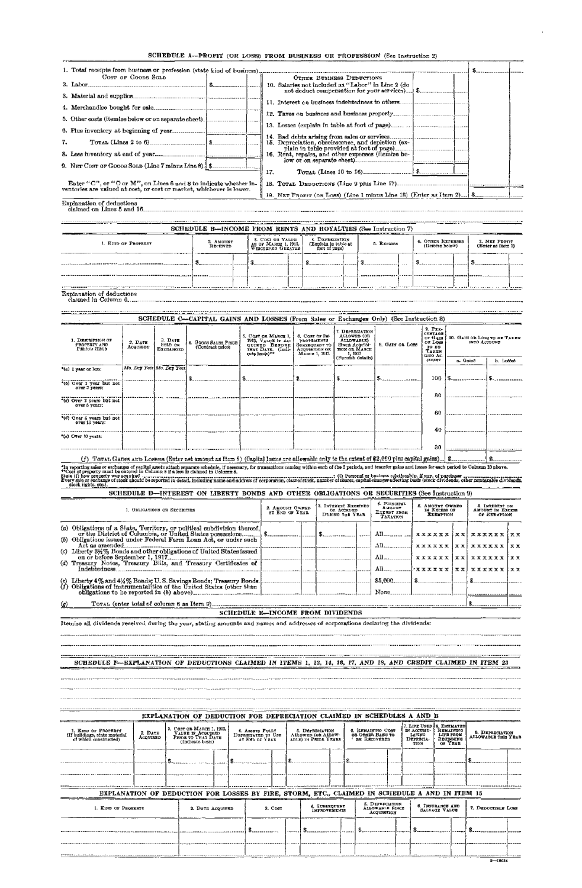# SCHEDULE A—PROFIT (OR LOSS) FROM BUSINESS OR PROFESSION (See Instruction 2)

#### Explanation of deductions claimed in Column 6.

. . . . . . . . . . . . . . . . . .

| 1. Total receipts from business or profession (state kind of business).                                                                  |                      |                                                                                                                                                                                 |                                   |
|------------------------------------------------------------------------------------------------------------------------------------------|----------------------|---------------------------------------------------------------------------------------------------------------------------------------------------------------------------------|-----------------------------------|
| COST OF GOODS SOLD                                                                                                                       |                      | OTHER BUSINESS DEDUCTIONS                                                                                                                                                       |                                   |
|                                                                                                                                          |                      | 10. Salaries not included as "Labor" in Line 2 (do                                                                                                                              |                                   |
|                                                                                                                                          |                      |                                                                                                                                                                                 |                                   |
|                                                                                                                                          |                      |                                                                                                                                                                                 |                                   |
| 5. Other costs (itemize below or on separate sheet).                                                                                     |                      |                                                                                                                                                                                 |                                   |
|                                                                                                                                          |                      |                                                                                                                                                                                 |                                   |
| 7.                                                                                                                                       |                      | 15. Depreciation, obsolescence, and depletion (ex-                                                                                                                              |                                   |
|                                                                                                                                          |                      | 16. Rent, repairs, and other expenses (itemize be-                                                                                                                              |                                   |
|                                                                                                                                          |                      | 17.                                                                                                                                                                             |                                   |
| Enter "C", or "C or M", on Lines 6 and 8 to indicate whether in-<br>ventories are valued at cost, or cost or market, whichever is lower. |                      |                                                                                                                                                                                 |                                   |
|                                                                                                                                          |                      |                                                                                                                                                                                 |                                   |
| <b>Explanation of deductions</b><br>claimed on Lines 5 and 16                                                                            |                      |                                                                                                                                                                                 |                                   |
|                                                                                                                                          |                      | SCHEDULE B—INCOME FROM RENTS AND ROYALTIES (See Instruction 7)                                                                                                                  |                                   |
| 1. KIND OF PROPERTY                                                                                                                      | 2 AMOUNT<br>RECEIVED | 3. COST OR VALUE<br>4. DEPRECIATION<br>6. OTHER EXTENSES<br>5. REPAIRS<br>AS OF MARCH 1, 1913.<br>WHICHEVER GUELTER<br>(Explain in table at<br>(Itemize below)<br>foot of page) | 7. NET PROST<br>(Enter as Item ?) |

(f) Toral Gains and Losses (Enter net amount as Item 3) (Capital losses are allowable enly to the extent of \$2,000 plus capital gains)...} \$. \$ ....

\*In reporting sales or exchanges of capital axets attach separate schedule, if necessary, for transactions coming within each of the 5 periods, and transfer gains and losses for each period to Column 10 above.<br>\*\*Cost of pr

|      | INEL BITED | WHICHRYER (IREATER  <br>_________ | foot of page) |                |      | <b>ALCHARGE LATIN A</b> |        | <b>TESTINGS RED STARTED 13</b><br>$- - - - - -$ |                         |
|------|------------|-----------------------------------|---------------|----------------|------|-------------------------|--------|-------------------------------------------------|-------------------------|
|      |            |                                   |               |                |      |                         | ------ |                                                 |                         |
|      |            |                                   |               | . <i>. . .</i> | ---- |                         |        |                                                 |                         |
|      |            | <u> ----------------</u>          | . <b>.</b>    |                |      |                         |        |                                                 | --- <sup>-</sup> ------ |
| ____ |            | <b>ALC: 1999</b>                  |               |                |      |                         |        |                                                 |                         |

| 1. DESCRIPTION OF<br>PROPERTY AND<br>PERIOD HELD | $2. \, D_{A}7B$<br>Acquisen | 3. DATE<br><b>SOLD OR</b><br>EXCHANGED | 4. GROSS SALES PRICE<br>(Contract price) | 5. COST OR MARGE 1.<br>1913, VALUE IT AC-<br>QUIRED BEFORE   SUBSEQUENT TO<br>THAT DATE. (Indi-<br>cate basis)** | 6. COST OF IM-<br><b>PROVEMENTS</b><br>ACQUISITION OR<br>MARCH 1, 1913 | 7. DEPRECIATION<br>ALLOWED (OR<br>ALLOWABLE)<br><b>SINCE ACQUISI-</b><br>TION OR MARCH<br>1, 1913 | 8. GAIN OR LOSS | $9.$ PER-<br>CENTION<br>of GAIN<br>OR LOSS<br>TO BE<br><b>TAKEN</b><br><b>INTO AC</b> | 10. GAIN OR LOSS TO BE TAXEN<br>INTO ACCOUNT |             |  |
|--------------------------------------------------|-----------------------------|----------------------------------------|------------------------------------------|------------------------------------------------------------------------------------------------------------------|------------------------------------------------------------------------|---------------------------------------------------------------------------------------------------|-----------------|---------------------------------------------------------------------------------------|----------------------------------------------|-------------|--|
|                                                  |                             |                                        |                                          |                                                                                                                  |                                                                        | (Furnish dotails)                                                                                 |                 | <b>COUNT</b>                                                                          | a. Gains                                     | $b.$ Losses |  |
| "(a) 1 year or less:                             |                             | Mo. Day Year Mo. Day Year              |                                          |                                                                                                                  |                                                                        |                                                                                                   |                 | 100                                                                                   |                                              |             |  |
| *(b) Over 1 year but not<br>over 2 years:        |                             |                                        |                                          |                                                                                                                  |                                                                        |                                                                                                   |                 |                                                                                       |                                              |             |  |
|                                                  |                             |                                        |                                          |                                                                                                                  |                                                                        |                                                                                                   |                 | 80                                                                                    |                                              |             |  |
| "(c) Over 2 years but not<br>over 5 years:       |                             |                                        |                                          |                                                                                                                  |                                                                        |                                                                                                   |                 |                                                                                       |                                              |             |  |
|                                                  |                             |                                        |                                          |                                                                                                                  |                                                                        |                                                                                                   |                 | 60                                                                                    |                                              |             |  |
| *(d) Over 5 years but not<br>over 10 years:      |                             |                                        |                                          |                                                                                                                  |                                                                        |                                                                                                   |                 |                                                                                       |                                              |             |  |
| $\mathcal{C}(\varepsilon)$ Over 10 years:        |                             |                                        |                                          |                                                                                                                  |                                                                        |                                                                                                   |                 | 40                                                                                    |                                              |             |  |
|                                                  |                             |                                        |                                          |                                                                                                                  |                                                                        |                                                                                                   |                 | 30                                                                                    |                                              |             |  |

|  |  | SCHEDULE D-INTEREST ON LIBERTY BONDS AND OTHER OBLIGATIONS OR SECURITIES (See Instruction 9) |
|--|--|----------------------------------------------------------------------------------------------|
|  |  |                                                                                              |

|     | 1. OBLIGATIONS OR SECURITIES                                                                                                                | 2. AMOUNT OWNED<br>AT END OF YEAR | 3. INTEREST RECEIVED<br>or Accrued<br>DURING THE YEAR | 4. PRINCIPAL<br><b>AMOUNT</b><br>EXEMPT FROM<br>Тахаттом | 5. AMOUNT OWNED<br>IN EXCESS OF<br><b>EXEMPTION</b> | <b>6. INTEREST ON</b><br>AMOUNT IN EXCESS<br>OF EXEMPTION |  |  |
|-----|---------------------------------------------------------------------------------------------------------------------------------------------|-----------------------------------|-------------------------------------------------------|----------------------------------------------------------|-----------------------------------------------------|-----------------------------------------------------------|--|--|
|     | (b) Obligations issued under Federal Farm Loan Act, or under such                                                                           |                                   |                                                       |                                                          |                                                     |                                                           |  |  |
|     | (c) Liberty 31/2% Bonds and other obligations of United States issued                                                                       |                                   |                                                       |                                                          |                                                     |                                                           |  |  |
|     | (d) Treasury Notes, Treasury Bills, and Treasury Certificates of<br>Indebtedness.                                                           |                                   |                                                       |                                                          |                                                     |                                                           |  |  |
|     | (e) Liberty 4% and 4% % Bonds; U.S. Savings Bonds; Treasury Bonds.<br>(f) Obligations of instrumentalities of the United States (other than |                                   |                                                       |                                                          |                                                     |                                                           |  |  |
|     |                                                                                                                                             |                                   |                                                       | None                                                     |                                                     |                                                           |  |  |
| (g) |                                                                                                                                             |                                   |                                                       |                                                          |                                                     |                                                           |  |  |
|     |                                                                                                                                             | SCHEDULE E-INCOME FROM DIVIDENDS  |                                                       |                                                          |                                                     |                                                           |  |  |
|     | Itemize all dividends received during the year, stating amounts and names and addresses of corporations declaring the dividends:            |                                   |                                                       |                                                          |                                                     |                                                           |  |  |

SCHEDULE F—EXPLANATION OF DEDUCTIONS CLAIMED IN ITEMS 1, 13, 14, 16, 17, AND 18, AND CREDIT CLAIMED IN ITEM 23

|                                                                                                |                                | EXPLANATION OF DEDUCTION FOR DEPRECIATION CLAIMED IN SCHEDULES A AND B |                                                                      |  |  |                                                         |  |                                      |                                                                                           |  |                                                        |                                                                           |                                |                                                       |                                        |  |
|------------------------------------------------------------------------------------------------|--------------------------------|------------------------------------------------------------------------|----------------------------------------------------------------------|--|--|---------------------------------------------------------|--|--------------------------------------|-------------------------------------------------------------------------------------------|--|--------------------------------------------------------|---------------------------------------------------------------------------|--------------------------------|-------------------------------------------------------|----------------------------------------|--|
| 1. KIND OF PROPERTY<br>(If buildings, state material<br>of which constructed)                  | $2. \mathbf{DATE}$<br>ACQUIRED | (Indicate basis)                                                       | 3. Соэт он МАКСЕ 1, 1913.<br>VALUE IF ACQUIRED<br>PRIOR TO THAT DATE |  |  | 4. ASSETS FULLY<br>DEPRECIATED IN USE<br>AT END OF YEAR |  |                                      | <b>6. REMAINING COST</b><br>5. DEFRECIATION<br>ALLOWED (OR ALLOW-<br>ABLE) IN PRIOR YEARS |  |                                                        | 7. LIFE USED   8. ESTIMATED <br>IN ACCUMU-<br>LATING<br>DEPRECIA-<br>TION |                                | REMAINUNG<br>LIFE FROM<br><b>BEGINNING</b><br>OF YEAR | 9. DEPERCIATION<br>ALLOWABLE THIS YEAR |  |
|                                                                                                |                                |                                                                        |                                                                      |  |  |                                                         |  |                                      |                                                                                           |  |                                                        |                                                                           |                                |                                                       |                                        |  |
|                                                                                                |                                |                                                                        |                                                                      |  |  |                                                         |  |                                      |                                                                                           |  |                                                        |                                                                           |                                |                                                       |                                        |  |
| EXPLANATION OF DEDUCTION FOR LOSSES BY FIRE, STORM, ETC., CLAIMED IN SCHEDULE A AND IN ITEM 15 |                                |                                                                        |                                                                      |  |  |                                                         |  |                                      |                                                                                           |  |                                                        |                                                                           |                                |                                                       |                                        |  |
| 1. KIND OF PEOPERTY                                                                            |                                | 2. DATE ACQUIRED                                                       |                                                                      |  |  | 3. Cost                                                 |  | 4. SUBSEQUENT<br><b>IMPROVEMENTS</b> |                                                                                           |  | 5. DEPRECIATION<br><b>ALLOWABLE SINCE</b><br>ACOUSHION |                                                                           | 6. INSURANCE AND SALVAGE VALUE |                                                       | 7. DEDUCTIBLE LOSS                     |  |
|                                                                                                |                                |                                                                        |                                                                      |  |  |                                                         |  |                                      |                                                                                           |  |                                                        |                                                                           |                                |                                                       |                                        |  |
|                                                                                                |                                |                                                                        |                                                                      |  |  |                                                         |  |                                      |                                                                                           |  |                                                        |                                                                           |                                |                                                       |                                        |  |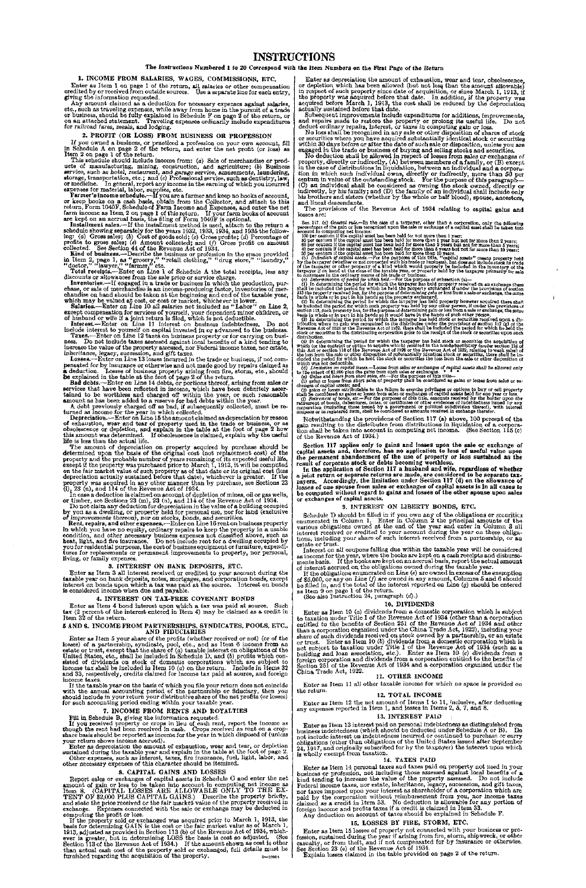# **INSTRUCTIONS**

#### The Instructions Numbered 1 to 20 Correspond with the Item Numbers on the First Page of the Return

# 1. INCOME FROM SALARIES, WAGES, COMMISSIONS, ETC.

Enter as Item 1 on page 1 of the return, all salaries or other compensation credited by or received from outside sources. Use a separate line for each entry, giving the information requested.

Any amount claimed as a deduction for necessary expenses against salaries, etc., such as traveling expenses, while away from home in the pursuit of a trade<br>or business, should be fully explained in Schedule F on page 2 of the return, or<br>on an attached statement. Traveling expenses ordinarily incl for railroad fares, meals, and lodging.

# 2. PROFIT (OR LOSS) FROM BUSINESS OR PROFESSION

If you owned a business, or practiced a profession on your own account, fill in Schedule A on page 2 of the return, and enter the net profit (or loss) as Item 2 on page 1 of the return.

This schedule should include income from: (a) Sale of merchandise or products of manufacturing, mining, construction, and agriculture; (b) Business service, such as hotel, restaurant, and garage service, amusements, laund

Farmer's income schedule.---If you are a farmer and keep no books of account,<br>or keep books on a cash basis, obtain from the Collector, and attach to this<br>return, Form 1040F, Schedule of Farm Income and Expenses, and ente

Installment sales.—If the installment method is used, attach to the return a schedule showing separately for the years 1932, 1933, 1934, and 1935 the following: (a) Gross sales; (b) Cost of goods sold; (c) Grossen profits

Kind of business.—Describe the business or profession in the space provided in Item 2, page 1, as "grocery," "retail clothing," "drug store," "laundry,"  $"d\text{actor," "lawyer," "farmer," etc.}$ 

Inventories.—If engaged in a trade or business in which the production, purchase, or sale of merchandise is an income-producing factor, inventories of mer-<br>chandise on hand should be taken at the beginning and end of the taxable year,<br>which may be valued at cost, or cost or market, whichever is l

Salaries.—Enter on Line 10 all salaries not included as "Labor" on Line 2, except compensation for services of yourself, your dependent minor children, or of husband or wife if a joint return is filed, which is not deducti

Total receipts.—Enter on Line 1 of Schedule A the total receipts, less any discounts or allowances from the sale price or service charge.

Interest.—Enter on Line 11 interest on business indebtedness. Do not include interest to yourself on capital invested in or advanced to the business.

Taxes.—Enter on Line 12 taxes on business property or for carrying on busi-ness. Do not include taxes assessed against local benefits of a kind tending to increase the value of the property assessed, nor Federal ineome taxes, nor estate, inheritance, legacy, succession, and gift taxes.

Enter as Item 5 your share of the profits (whether received or not) (or of the losses) of a partnership, syndicate, pool, etc., and as Item 6 income from an estate or trust, except that the share of  $\langle a \rangle$  taxable intere and 33, respectively, credits claimed for income tax paid at source, and foreign

Losses.—Enter on Line 13 losses incurred in the trade or business, if not compensated for by insurance or otherwise and not made good by repairs claimed as a deduction. Losses of business property arising from fire, storm, etc., should be explained in the table at the foot of page 2 of the return.

Bad debts.—Enter on Line 14 debts, or portions thereof, arising from sales or services that have been reflected in income, which have been definitely ascer-tained to be worthless and charged off within the year, or such reasonable amount as has been added to a reserve for bad debts within the year.

A debt previously charged off as bad, if subsequently collected, must be re-<br>turned as income for the year in which collected.<br>Depreciation.—Enter on Line 15 the amount claimed as depreciation by reason<br>of exhaustion, wear

The amount of depreciation on property acquired by purchase should be determined upon the basis of the original cost (not replacement cost) of the property and the probable number of years remaining of its expected useful on the fair market value of such property as of that date or its original cost (less depreciation actually sustained before that date), whichever is greater. If the property was acquired in any other manner than by purcha

In case a deduction is claimed on account of depletion of mines, oil or gas wells, or timber, see Sections 23 (m), 23 (n), and 114 of the Revenue Act of 1934.<br>Do not claim any deduction for depreciation in the value of a

Enter as depreciation the amount of exhaustion, wear and tear, or depletion sustained during the taxable year and explain in the table at the foot of page 2.

If the property sold or exchanged was acquired prior to March 1, 1913, the basis for determining GAIN is the cost or the fair market value as of March 1, 1913, adjusted as provided in Section 113 (b) of the Revenue Act of 1934, whichever is greater, but in determining LOSS the basis is cost so adjusted. (See Section 113 of the Revenue Act of 1934.) If the amount shown as cost is other than actual cash cost of the property sold or exchanged, full details must be furnished regarding the acquisition of the property.  $\overline{2}$  2—10964

Enter as depreciation the amount of exhaustion, wear and tear, obsolescence, or depletion which has been allowed (but not less than the amount allowable) in respect of such property since date of acquisition, or since March 1, 1913, if the property was acquired before that date. In addition, if the

by you as a dwelling, or property held for personal use, nor for land (exclusive *of* improvements thereon), nor on stocks, bonds, and securities.

Rent, repairs, and other expenses.—Enter on Line 16 rent on business property in which you have no equity, ordinary repairs to keep the property in a usable condition, and other necessary business expenses not classified above, such as heat, light, and fire insurance. Do not include rent for a dwell living, or family expenses.

#### 3. INTEREST ON BANK DEPOSITS, ETC.

Enter as Item 3 all interest received or credited to your account during the taxable year on bank deposits, notes, mortgages, and corporation bonds, except interest on bonds upon which a tax was paid at the source. Interest on bonds is considered income when due and payable.

#### 4. INTEREST ON TAX-FREE COVENANT BONDS

Enter as Item 4 bond interest upon which a tax was paid at source. Such tax (2 percent of the interest entered in Item 4) may be claimed as a credit in Item 32 of the return.

#### 5 AND 6. INCOME FROM PARTNERSHIPS, SYNDICATES, POOLS, ETC., AND FIDUCIARIES

income taxes.

If the taxable year on the basis of which you file your return does not coincide with the annual accounting period of the partnership or fiduciary, then you should include in your return your distributive share of the net profits (or losses) for such accounting period ending within your taxable year.

#### 7. INCOME FROM RENTS AND ROYALTIES

Fill in Schedule B, giving the information requested.

If you received property or crops in lieu of cash rent, report the income as though the rent had been received in cash. Crops received as rent on a cropshare basis should be reported as income for the year in which disposed of (unless your return shows income accrued).

Other expenses, such as interest, taxes, fire insurance, fuel, light, labor, and other necessary expenses of this character should be itemized.

#### 8. CAPITAL GAINS AND LOSSES

Schedule D should be filled in if you own any of the obligations or securities enumerated in Column 1. Enter in Column 2 the principal amounts of the various obligations owned at the end of the various children 3 all inter estate or trust.

Interest on all coupons falling due within the taxable year will be considered as income for the year, where the books are kept on a cash receipts and disburse-<br>ments basis. If the books are kept on an accrual basis, report the actual amount<br>of interest accrued on the obligations owned during the tax

Report sales or exchanges of capital assets in Schedule C and enter the net amount of gain or loss to be taken into account in computing net income as Item 8. (CAPITAL LOSSES ARE ALLOWABLE ONLY TO THE EX-TENT OF \$2,000 PLUS CAPITAL GAINS.) Describe the property briefly, and state the price received or the fair market value of the property received in exchange. Expenses connected with the sale or exchange may be deducted in computing the profit or loss.

Enter as Item 13 interest paid on personal indebtedness as distinguished from business indebtedness (which should be deducted under Schedule A or B). Do not include interest on indebtedness incurred or continued to purchase or carry obligations (other than obligations of the United States issued after September 24, 1917, and originally subscribed for by the taxpayer) the i

Subsequent improvements include expenditures for additions, improvements, and repairs made to restore the property or prolong its useful life. Do not deduct ordinary repairs, interest, or taxes in computing gain or loss.

No loss shall be recognized in any sale or other disposition of shares of stock<br>or securities where you have acquired substantially identical stock or securities<br>within 30 days before or after the date of such sale or disp

No deduction shall be allowed in respect of losses from sales or exchanges of<br>property, directly or indirectly, (A) between members of a family, or (B) except<br>in the case of distributions in liquidation, between an indivi

The provisions of the Revenue Act of 1934 relating to capital gains and losses are:

Sec. 117. (a) Grantzi ruka-sa of a torpathe and a so property, other than a corporation, only the following the same of a torpathe sec. 117. (a) Grantzi ruka-sa of the gain of the control of the control of the control of

Notwithstanding the provisions of Section 117 (a) above, 100 percent of the gain resulting to the distributee from distributions in liquidation of a corpora-tion shall be taken into account in computing net income. (See Section 115 (c) of the Revenue Act of 1934.)

Section 117 applies only to gains and losses upon the sale or exchange of capital assets and, therefore, has no application to loss of useful value upon the permanent abandonment of the use of property or loss sustained as the result of corporate stock or debts becoming worthless.

In the application of Section 117 a husband and wife, regardless of whether a joint return or separate returns are made, are considered to be separate taxpayers. Accordingly, the limitation under Section 117 (d) on the allowance of losses of one spouse from sales or exchanges of capital assets is In all cases to be computed without regard to gains and losses of the other spouse upon sales or exchanges of capital assets.

#### 9. INTEREST ON LIBERTY BONDS, ETC.

If the obligations enumerated on Line *(e)* are owned in excess of the exemption of \$5,000, or any on Line (/) are owned in any amount, Columns 5 and 6 should be filled in, and the total of the interest reported on Line *(g)* should be entered as Item 9 on page 1 of the return.

(See also Instruction 24, paragraph *(d)*.)

#### 10. DIVIDENDS

Enter as Item 10 (a) dividends from a domestic corporation which is subject to taxation under Title I of the Revenue Act of 1934 (other than a corporation entitled to the benefits of Section 251 of the Revenue Act of 1934 and other than a corporation organized under the China Trade Act, 1922), including your share of such dividends received on stock owned by a partnership, or an estate or trust. Enter as Item 10 *(b)* dividends from a domestic corporation which is not subject to taxation under Title I of the Revenue Act of 1934 (such as a building and loan association, etc.). Enter as Item 10 (c) dividends from a foreign corporation and dividends from a corporation entitled to the benefits of Section 251 of the Revenue Act of 1934 and a corporation organized under the China Trade Act, 1922.

#### 11. OTHER INCOME

Enter as Item 11 all other taxable income for which no space is provided on the return.

# 12. TOTAL INCOME

Enter as Item 12 the net amount of Items 1 to 11, inclusive, after deducting any expenses reported in Item 1, and losses in Items 2, 5, 7, and 8.

#### 13. INTEREST PAID

#### 14. TAXES PAID

Enter as Item 14 personal taxes and taxes paid on property not used in your business or profession, not including those assessed against local benefits of a kind tending to increase the value of the property assessed. Do not include Federal income taxes, nor estate, inheritance, legacy, succession, and gift taxes, nor taxes imposed upon your interest as shareholder of a corporation which are paid by the corporation without reimbursement from you, nor income taxes claimed as a credit in Item 33. No deduction is allowable for any portion of foreign income and profits taxes if a credit is claimed in Item 33. Any deduction on account of taxes should be explained in Schedule F.

#### 15. LOSSES BY FIRE, STORM, ETC.

Enter as Item 15 losses of property not connected with your business or profession, sustained during the year if arising from fire, storm, shipwreck, or other casualty, or from theft, and if not compensated for by insurance or otherwise. See Section 23 (e) of the Revenue Act of 1934.

Explain losses claimed in the table provided on page 2 of the return.